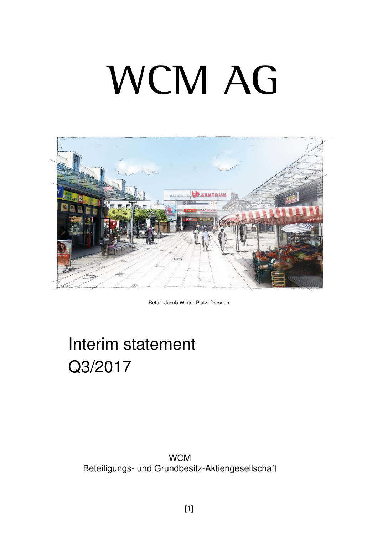# **WCM AG**



Retail: Jacob-Winter-Platz, Dresden

## Interim statement Q3/2017

#### **WCM** Beteiligungs- und Grundbesitz-Aktiengesellschaft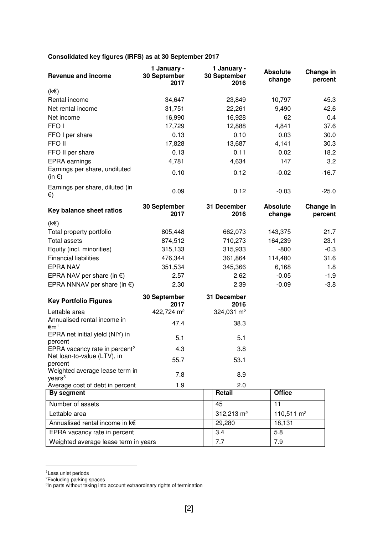#### **Consolidated key figures (IRFS) as at 30 September 2017**

| <b>Revenue and income</b>                            | 1 January -<br>30 September<br>2017 | 1 January -<br>30 September<br>2016 | <b>Absolute</b><br>change | Change in<br>percent |
|------------------------------------------------------|-------------------------------------|-------------------------------------|---------------------------|----------------------|
| $(k \in)$                                            |                                     |                                     |                           |                      |
| Rental income                                        | 34,647                              | 23,849                              | 10,797                    | 45.3                 |
| Net rental income                                    | 31,751                              | 22,261                              | 9,490                     | 42.6                 |
| Net income                                           | 16,990                              | 16,928                              | 62                        | 0.4                  |
| FFO <sub>I</sub>                                     | 17,729                              | 12,888                              | 4,841                     | 37.6                 |
| FFO I per share                                      | 0.13                                | 0.10                                | 0.03                      | 30.0                 |
| FFO II                                               | 17,828                              | 13,687                              | 4,141                     | 30.3                 |
| FFO II per share                                     | 0.13                                | 0.11                                | 0.02                      | 18.2                 |
| <b>EPRA</b> earnings                                 | 4,781                               | 4,634                               | 147                       | 3.2                  |
| Earnings per share, undiluted<br>(in $\epsilon$ )    | 0.10                                | 0.12                                | $-0.02$                   | $-16.7$              |
| Earnings per share, diluted (in<br>€)                | 0.09                                | 0.12                                | $-0.03$                   | $-25.0$              |
| Key balance sheet ratios                             | 30 September<br>2017                | 31 December<br>2016                 | <b>Absolute</b><br>change | Change in<br>percent |
| $(k \in)$                                            |                                     |                                     |                           |                      |
| Total property portfolio                             | 805,448                             | 662,073                             | 143,375                   | 21.7                 |
| <b>Total assets</b>                                  | 874,512                             | 710,273                             | 164,239                   | 23.1                 |
| Equity (incl. minorities)                            | 315,133                             | 315,933                             | $-800$                    | $-0.3$               |
| <b>Financial liabilities</b>                         | 476,344                             | 361,864                             | 114,480                   | 31.6                 |
| <b>EPRA NAV</b>                                      | 351,534                             | 345,366                             | 6,168                     | 1.8                  |
| EPRA NAV per share (in $\epsilon$ )                  | 2.57                                | 2.62                                | $-0.05$                   | $-1.9$               |
| EPRA NNNAV per share (in $\epsilon$ )                | 2.30                                | 2.39                                | $-0.09$                   | $-3.8$               |
| <b>Key Portfolio Figures</b>                         | 30 September<br>2017                | 31 December<br>2016                 |                           |                      |
| Lettable area                                        | 422,724 m <sup>2</sup>              | 324,031 m <sup>2</sup>              |                           |                      |
| Annualised rental income in<br>€m <sup>1</sup>       | 47.4                                | 38.3                                |                           |                      |
| EPRA net initial yield (NIY) in<br>percent           | 5.1                                 | 5.1                                 |                           |                      |
| EPRA vacancy rate in percent <sup>2</sup>            | 4.3                                 | $\overline{3}$ $\overline{8}$       |                           |                      |
| Net loan-to-value (LTV), in<br>percent               | 55.7                                | 53.1                                |                           |                      |
| Weighted average lease term in<br>years <sup>3</sup> | 7.8                                 | 8.9                                 |                           |                      |
| Average cost of debt in percent                      | 1.9                                 | 2.0                                 |                           |                      |
| By segment                                           |                                     | Retail                              | <b>Office</b>             |                      |
| Number of assets                                     |                                     | 45                                  | 11                        |                      |
| Lettable area                                        |                                     | 312,213 m <sup>2</sup>              | $110,511 \text{ m}^2$     |                      |
| Annualised rental income in k€                       |                                     | 29,280                              | 18,131                    |                      |
| EPRA vacancy rate in percent                         |                                     | 3.4                                 | 5.8                       |                      |
| Weighted average lease term in years                 |                                     | 7.7                                 | 7.9                       |                      |

<sup>&</sup>lt;sup>1</sup>Less unlet periods

 $\overline{a}$ 

<sup>&</sup>lt;sup>2</sup>Excluding parking spaces<br><sup>3</sup>In parts without taking into account extraordinary rights of termination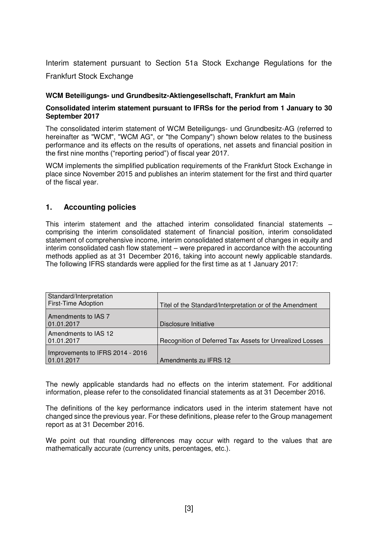Interim statement pursuant to Section 51a Stock Exchange Regulations for the Frankfurt Stock Exchange

#### **WCM Beteiligungs- und Grundbesitz-Aktiengesellschaft, Frankfurt am Main**

#### **Consolidated interim statement pursuant to IFRSs for the period from 1 January to 30 September 2017**

The consolidated interim statement of WCM Beteiligungs- und Grundbesitz-AG (referred to hereinafter as "WCM", "WCM AG", or "the Company") shown below relates to the business performance and its effects on the results of operations, net assets and financial position in the first nine months ("reporting period") of fiscal year 2017.

WCM implements the simplified publication requirements of the Frankfurt Stock Exchange in place since November 2015 and publishes an interim statement for the first and third quarter of the fiscal year.

#### **1. Accounting policies**

This interim statement and the attached interim consolidated financial statements – comprising the interim consolidated statement of financial position, interim consolidated statement of comprehensive income, interim consolidated statement of changes in equity and interim consolidated cash flow statement – were prepared in accordance with the accounting methods applied as at 31 December 2016, taking into account newly applicable standards. The following IFRS standards were applied for the first time as at 1 January 2017:

| Standard/Interpretation<br><b>First-Time Adoption</b> | Titel of the Standard/Interpretation or of the Amendment |
|-------------------------------------------------------|----------------------------------------------------------|
| Amendments to IAS 7<br>01.01.2017                     | Disclosure Initiative                                    |
| Amendments to IAS 12<br>01.01.2017                    | Recognition of Deferred Tax Assets for Unrealized Losses |
| Improvements to IFRS 2014 - 2016<br>01.01.2017        | Amendments zu IFRS 12                                    |

The newly applicable standards had no effects on the interim statement. For additional information, please refer to the consolidated financial statements as at 31 December 2016.

The definitions of the key performance indicators used in the interim statement have not changed since the previous year. For these definitions, please refer to the Group management report as at 31 December 2016.

We point out that rounding differences may occur with regard to the values that are mathematically accurate (currency units, percentages, etc.).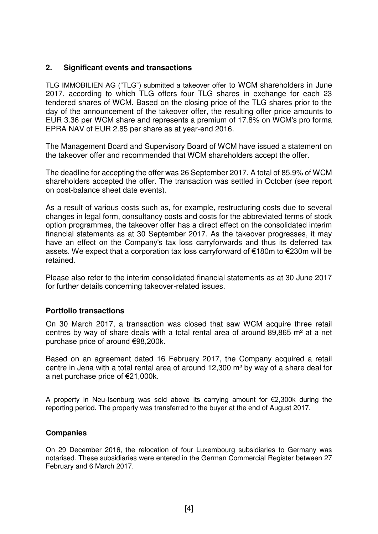#### **2. Significant events and transactions**

TLG IMMOBILIEN AG ("TLG") submitted a takeover offer to WCM shareholders in June 2017, according to which TLG offers four TLG shares in exchange for each 23 tendered shares of WCM. Based on the closing price of the TLG shares prior to the day of the announcement of the takeover offer, the resulting offer price amounts to EUR 3.36 per WCM share and represents a premium of 17.8% on WCM's pro forma EPRA NAV of EUR 2.85 per share as at year-end 2016.

The Management Board and Supervisory Board of WCM have issued a statement on the takeover offer and recommended that WCM shareholders accept the offer.

The deadline for accepting the offer was 26 September 2017. A total of 85.9% of WCM shareholders accepted the offer. The transaction was settled in October (see report on post-balance sheet date events).

As a result of various costs such as, for example, restructuring costs due to several changes in legal form, consultancy costs and costs for the abbreviated terms of stock option programmes, the takeover offer has a direct effect on the consolidated interim financial statements as at 30 September 2017. As the takeover progresses, it may have an effect on the Company's tax loss carryforwards and thus its deferred tax assets. We expect that a corporation tax loss carryforward of €180m to €230m will be retained.

Please also refer to the interim consolidated financial statements as at 30 June 2017 for further details concerning takeover-related issues.

#### **Portfolio transactions**

On 30 March 2017, a transaction was closed that saw WCM acquire three retail centres by way of share deals with a total rental area of around 89,865 m² at a net purchase price of around €98,200k.

Based on an agreement dated 16 February 2017, the Company acquired a retail centre in Jena with a total rental area of around 12,300 m² by way of a share deal for a net purchase price of €21,000k.

A property in Neu-Isenburg was sold above its carrying amount for €2,300k during the reporting period. The property was transferred to the buyer at the end of August 2017.

#### **Companies**

On 29 December 2016, the relocation of four Luxembourg subsidiaries to Germany was notarised. These subsidiaries were entered in the German Commercial Register between 27 February and 6 March 2017.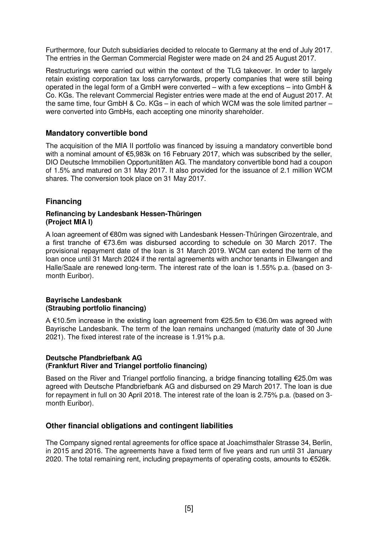Furthermore, four Dutch subsidiaries decided to relocate to Germany at the end of July 2017. The entries in the German Commercial Register were made on 24 and 25 August 2017.

Restructurings were carried out within the context of the TLG takeover. In order to largely retain existing corporation tax loss carryforwards, property companies that were still being operated in the legal form of a GmbH were converted – with a few exceptions – into GmbH & Co. KGs. The relevant Commercial Register entries were made at the end of August 2017. At the same time, four GmbH & Co. KGs – in each of which WCM was the sole limited partner – were converted into GmbHs, each accepting one minority shareholder.

#### **Mandatory convertible bond**

The acquisition of the MIA II portfolio was financed by issuing a mandatory convertible bond with a nominal amount of €5,983k on 16 February 2017, which was subscribed by the seller, DIO Deutsche Immobilien Opportunitäten AG. The mandatory convertible bond had a coupon of 1.5% and matured on 31 May 2017. It also provided for the issuance of 2.1 million WCM shares. The conversion took place on 31 May 2017.

#### **Financing**

#### **Refinancing by Landesbank Hessen-Thüringen (Project MIA I)**

A loan agreement of €80m was signed with Landesbank Hessen-Thüringen Girozentrale, and a first tranche of €73.6m was disbursed according to schedule on 30 March 2017. The provisional repayment date of the loan is 31 March 2019. WCM can extend the term of the loan once until 31 March 2024 if the rental agreements with anchor tenants in Ellwangen and Halle/Saale are renewed long-term. The interest rate of the loan is 1.55% p.a. (based on 3 month Euribor).

#### **Bayrische Landesbank (Straubing portfolio financing)**

A €10.5m increase in the existing loan agreement from €25.5m to €36.0m was agreed with Bayrische Landesbank. The term of the loan remains unchanged (maturity date of 30 June 2021). The fixed interest rate of the increase is 1.91% p.a.

#### **Deutsche Pfandbriefbank AG (Frankfurt River and Triangel portfolio financing)**

Based on the River and Triangel portfolio financing, a bridge financing totalling €25.0m was agreed with Deutsche Pfandbriefbank AG and disbursed on 29 March 2017. The loan is due for repayment in full on 30 April 2018. The interest rate of the loan is 2.75% p.a. (based on 3 month Euribor).

#### **Other financial obligations and contingent liabilities**

The Company signed rental agreements for office space at Joachimsthaler Strasse 34, Berlin, in 2015 and 2016. The agreements have a fixed term of five years and run until 31 January 2020. The total remaining rent, including prepayments of operating costs, amounts to €526k.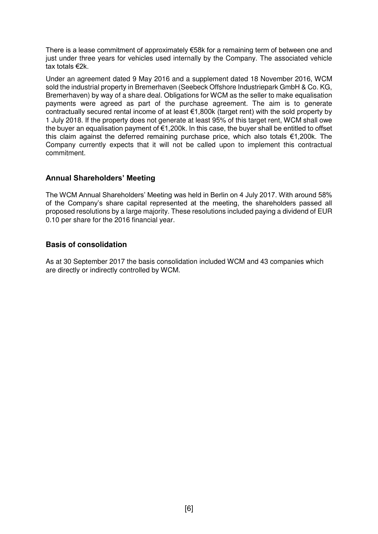There is a lease commitment of approximately €58k for a remaining term of between one and just under three years for vehicles used internally by the Company. The associated vehicle tax totals €2k.

Under an agreement dated 9 May 2016 and a supplement dated 18 November 2016, WCM sold the industrial property in Bremerhaven (Seebeck Offshore Industriepark GmbH & Co. KG, Bremerhaven) by way of a share deal. Obligations for WCM as the seller to make equalisation payments were agreed as part of the purchase agreement. The aim is to generate contractually secured rental income of at least €1,800k (target rent) with the sold property by 1 July 2018. If the property does not generate at least 95% of this target rent, WCM shall owe the buyer an equalisation payment of €1,200k. In this case, the buyer shall be entitled to offset this claim against the deferred remaining purchase price, which also totals €1,200k. The Company currently expects that it will not be called upon to implement this contractual commitment.

#### **Annual Shareholders' Meeting**

The WCM Annual Shareholders' Meeting was held in Berlin on 4 July 2017. With around 58% of the Company's share capital represented at the meeting, the shareholders passed all proposed resolutions by a large majority. These resolutions included paying a dividend of EUR 0.10 per share for the 2016 financial year.

#### **Basis of consolidation**

As at 30 September 2017 the basis consolidation included WCM and 43 companies which are directly or indirectly controlled by WCM.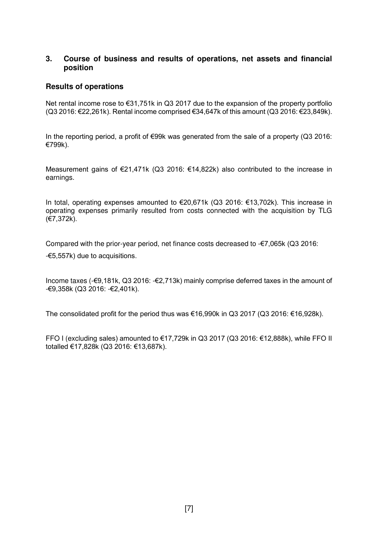#### **3. Course of business and results of operations, net assets and financial position**

#### **Results of operations**

Net rental income rose to €31,751k in Q3 2017 due to the expansion of the property portfolio (Q3 2016: €22,261k). Rental income comprised  $€34,647k$  of this amount (Q3 2016:  $€23,849k$ ).

In the reporting period, a profit of  $€99k$  was generated from the sale of a property (Q3 2016: €799k).

Measurement gains of €21,471k (Q3 2016: €14,822k) also contributed to the increase in earnings.

In total, operating expenses amounted to €20,671k (Q3 2016: €13,702k). This increase in operating expenses primarily resulted from costs connected with the acquisition by TLG (€7,372k).

Compared with the prior-year period, net finance costs decreased to  $-\epsilon$ 7,065k (Q3 2016: -€5,557k) due to acquisitions.

Income taxes (-€9,181k, Q3 2016: -€2,713k) mainly comprise deferred taxes in the amount of -€9,358k (Q3 2016: -€2,401k).

The consolidated profit for the period thus was €16,990k in Q3 2017 (Q3 2016: €16,928k).

FFO I (excluding sales) amounted to €17,729k in Q3 2017 (Q3 2016: €12,888k), while FFO II totalled €17,828k (Q3 2016: €13,687k).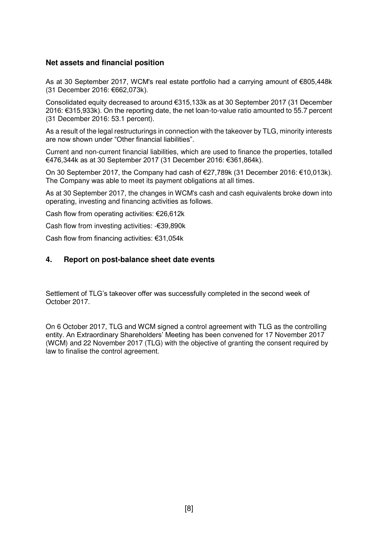#### **Net assets and financial position**

As at 30 September 2017, WCM's real estate portfolio had a carrying amount of €805,448k (31 December 2016: €662,073k).

Consolidated equity decreased to around €315,133k as at 30 September 2017 (31 December 2016: €315,933k). On the reporting date, the net loan-to-value ratio amounted to 55.7 percent (31 December 2016: 53.1 percent).

As a result of the legal restructurings in connection with the takeover by TLG, minority interests are now shown under "Other financial liabilities".

Current and non-current financial liabilities, which are used to finance the properties, totalled €476,344k as at 30 September 2017 (31 December 2016: €361,864k).

On 30 September 2017, the Company had cash of €27,789k (31 December 2016: €10,013k). The Company was able to meet its payment obligations at all times.

As at 30 September 2017, the changes in WCM's cash and cash equivalents broke down into operating, investing and financing activities as follows.

Cash flow from operating activities: €26,612k

Cash flow from investing activities: -€39,890k

Cash flow from financing activities: €31,054k

#### **4. Report on post-balance sheet date events**

Settlement of TLG's takeover offer was successfully completed in the second week of October 2017.

On 6 October 2017, TLG and WCM signed a control agreement with TLG as the controlling entity. An Extraordinary Shareholders' Meeting has been convened for 17 November 2017 (WCM) and 22 November 2017 (TLG) with the objective of granting the consent required by law to finalise the control agreement.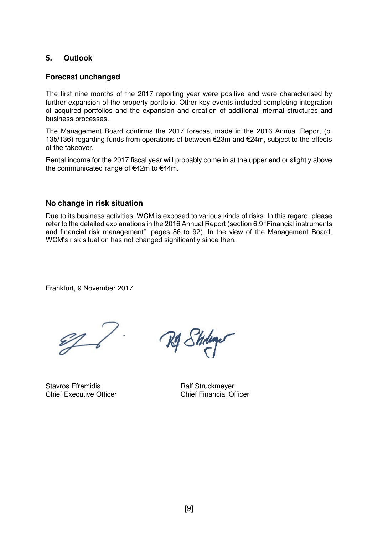#### **5. Outlook**

#### **Forecast unchanged**

The first nine months of the 2017 reporting year were positive and were characterised by further expansion of the property portfolio. Other key events included completing integration of acquired portfolios and the expansion and creation of additional internal structures and business processes.

The Management Board confirms the 2017 forecast made in the 2016 Annual Report (p. 135/136) regarding funds from operations of between €23m and €24m, subject to the effects of the takeover.

Rental income for the 2017 fiscal year will probably come in at the upper end or slightly above the communicated range of €42m to €44m.

#### **No change in risk situation**

Due to its business activities, WCM is exposed to various kinds of risks. In this regard, please refer to the detailed explanations in the 2016 Annual Report (section 6.9 "Financial instruments and financial risk management", pages 86 to 92). In the view of the Management Board, WCM's risk situation has not changed significantly since then.

Frankfurt, 9 November 2017

 $\mathscr{D}$ 

Stavros Efremidis<br>
Chief Executive Officer<br>
Chief Financial Officer<br>
Chief Financial Officer **Chief Executive Officer** 

My Stidings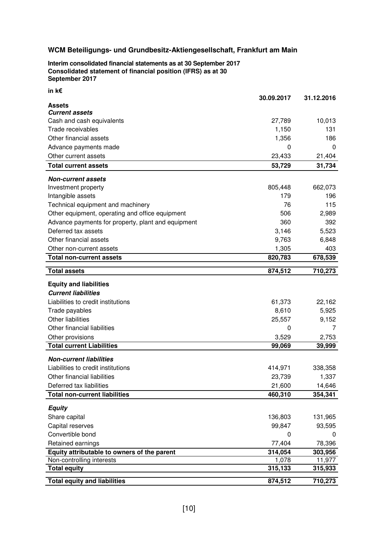**Interim consolidated financial statements as at 30 September 2017 Consolidated statement of financial position (IFRS) as at 30 September 2017** 

| in k€                                                                    |                  |                   |
|--------------------------------------------------------------------------|------------------|-------------------|
| <b>Assets</b>                                                            | 30.09.2017       | 31.12.2016        |
| <b>Current assets</b>                                                    |                  |                   |
| Cash and cash equivalents                                                | 27,789           | 10,013            |
| Trade receivables                                                        | 1,150            | 131               |
| Other financial assets                                                   | 1,356            | 186               |
| Advance payments made                                                    | 0                | 0                 |
| Other current assets                                                     | 23,433           | 21,404            |
| <b>Total current assets</b>                                              | 53,729           | 31,734            |
| <b>Non-current assets</b>                                                |                  |                   |
| Investment property                                                      | 805,448          | 662,073           |
| Intangible assets                                                        | 179              | 196               |
| Technical equipment and machinery                                        | 76               | 115               |
| Other equipment, operating and office equipment                          | 506              | 2,989             |
| Advance payments for property, plant and equipment                       | 360              | 392               |
| Deferred tax assets                                                      | 3,146            | 5,523             |
| Other financial assets                                                   | 9,763            | 6,848             |
| Other non-current assets                                                 | 1,305            | 403               |
| <b>Total non-current assets</b>                                          | 820,783          | 678,539           |
| <b>Total assets</b>                                                      | 874,512          | 710,273           |
| <b>Equity and liabilities</b>                                            |                  |                   |
| <b>Current liabilities</b>                                               |                  |                   |
| Liabilities to credit institutions                                       | 61,373           | 22,162            |
| Trade payables                                                           | 8,610            | 5,925             |
| <b>Other liabilities</b>                                                 | 25,557           | 9,152             |
| Other financial liabilities                                              | 0                | 7                 |
| Other provisions                                                         | 3,529            | 2,753             |
| <b>Total current Liabilities</b>                                         | 99,069           | 39,999            |
| <b>Non-current liabilities</b>                                           |                  |                   |
| Liabilities to credit institutions                                       | 414,971          | 338,358           |
| Other financial liabilities                                              | 23,739           | 1,337             |
| Deferred tax liabilities                                                 | 21,600           | 14,646            |
| <b>Total non-current liabilities</b>                                     | 460,310          | 354,341           |
|                                                                          |                  |                   |
| <b>Equity</b>                                                            |                  |                   |
| Share capital                                                            | 136,803          | 131,965           |
| Capital reserves                                                         | 99,847           | 93,595            |
| Convertible bond                                                         | 0                |                   |
| Retained earnings                                                        | 77,404           | 78,396            |
| Equity attributable to owners of the parent<br>Non-controlling interests | 314,054<br>1,078 | 303,956           |
| <b>Total equity</b>                                                      | 315,133          | 11,977<br>315,933 |
|                                                                          |                  |                   |
| <b>Total equity and liabilities</b>                                      | 874,512          | 710,273           |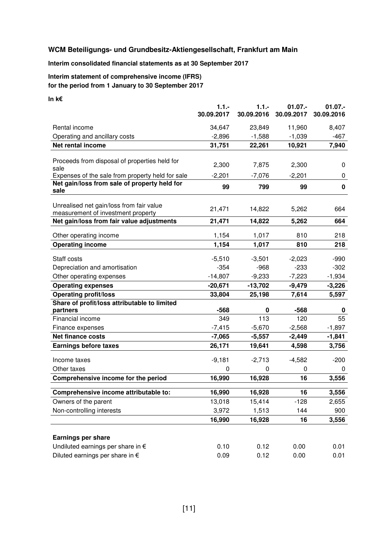#### **Interim consolidated financial statements as at 30 September 2017**

#### **Interim statement of comprehensive income (IFRS) for the period from 1 January to 30 September 2017**

#### **In k€**

|                                                                                | $1.1. -$<br>30.09.2017 | 1.1.<br>30.09.2016 | $01.07 -$<br>30.09.2017 | $01.07 -$<br>30.09.2016 |
|--------------------------------------------------------------------------------|------------------------|--------------------|-------------------------|-------------------------|
| Rental income                                                                  | 34,647                 | 23,849             | 11,960                  | 8,407                   |
| Operating and ancillary costs                                                  | $-2,896$               | $-1,588$           | $-1,039$                | $-467$                  |
| Net rental income                                                              | 31,751                 | 22,261             | 10,921                  | 7,940                   |
|                                                                                |                        |                    |                         |                         |
| Proceeds from disposal of properties held for<br>sale                          | 2,300                  | 7,875              | 2,300                   | 0                       |
| Expenses of the sale from property held for sale                               | $-2,201$               | $-7,076$           | $-2,201$                | 0                       |
| Net gain/loss from sale of property held for<br>sale                           | 99                     | 799                | 99                      | $\pmb{0}$               |
| Unrealised net gain/loss from fair value<br>measurement of investment property | 21,471                 | 14,822             | 5,262                   | 664                     |
| Net gain/loss from fair value adjustments                                      | 21,471                 | 14,822             | 5,262                   | 664                     |
| Other operating income                                                         | 1,154                  | 1,017              | 810                     | 218                     |
| <b>Operating income</b>                                                        | 1,154                  | 1,017              | 810                     | 218                     |
| Staff costs                                                                    | $-5,510$               | $-3,501$           | $-2,023$                | $-990$                  |
| Depreciation and amortisation                                                  | $-354$                 | $-968$             | $-233$                  | $-302$                  |
| Other operating expenses                                                       | $-14,807$              | $-9,233$           | $-7,223$                | $-1,934$                |
| <b>Operating expenses</b>                                                      | $-20,671$              | $-13,702$          | $-9,479$                | $-3,226$                |
| <b>Operating profit/loss</b>                                                   | 33,804                 | 25,198             | 7,614                   | 5,597                   |
| Share of profit/loss attributable to limited                                   |                        |                    |                         |                         |
| partners                                                                       | $-568$                 | 0                  | $-568$                  | 0                       |
| Financial income                                                               | 349                    | 113                | 120                     | 55                      |
| Finance expenses                                                               | $-7,415$               | $-5,670$           | $-2,568$                | $-1,897$                |
| <b>Net finance costs</b>                                                       | $-7,065$               | $-5,557$           | $-2,449$                | $-1,841$                |
| <b>Earnings before taxes</b>                                                   | 26,171                 | 19,641             | 4,598                   | 3,756                   |
| Income taxes                                                                   | $-9,181$               | $-2,713$           | $-4,582$                | $-200$                  |
| Other taxes                                                                    | 0                      | 0                  | 0                       | 0                       |
| Comprehensive income for the period                                            | 16,990                 | 16,928             | 16                      | 3,556                   |
| Comprehensive income attributable to:                                          | 16,990                 | 16,928             | 16                      | 3,556                   |
| Owners of the parent                                                           | 13,018                 | 15,414             | $-128$                  | 2,655                   |
| Non-controlling interests                                                      | 3,972                  | 1,513              | 144                     | 900                     |
|                                                                                | 16,990                 | 16,928             | 16                      | 3,556                   |
|                                                                                |                        |                    |                         |                         |
| <b>Earnings per share</b>                                                      |                        |                    |                         |                         |
| Undiluted earnings per share in €                                              | 0.10                   | 0.12               | 0.00                    | 0.01                    |
| Diluted earnings per share in $\epsilon$                                       | 0.09                   | 0.12               | 0.00                    | 0.01                    |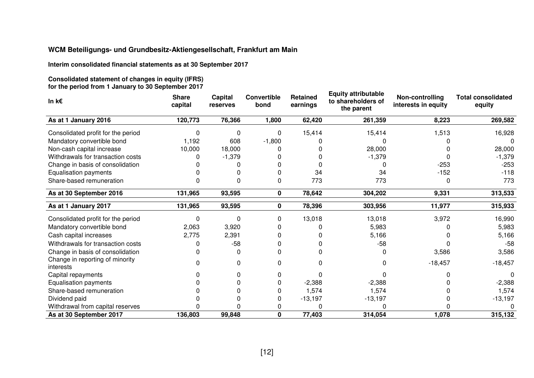**Interim consolidated financial statements as at 30 September 2017** 

**Consolidated statement of changes in equity (IFRS) for the period from 1 January to 30 September 2017** 

| In $k \in$                                   | <b>Share</b><br>capital | Capital<br>reserves | <b>Convertible</b><br>bond | <b>Retained</b><br>earnings | <b>Equity attributable</b><br>to shareholders of<br>the parent | Non-controlling<br>interests in equity | <b>Total consolidated</b><br>equity |
|----------------------------------------------|-------------------------|---------------------|----------------------------|-----------------------------|----------------------------------------------------------------|----------------------------------------|-------------------------------------|
| As at 1 January 2016                         | 120,773                 | 76,366              | 1,800                      | 62,420                      | 261,359                                                        | 8,223                                  | 269,582                             |
| Consolidated profit for the period           | n                       | 0                   | $\Omega$                   | 15,414                      | 15,414                                                         | 1,513                                  | 16,928                              |
| Mandatory convertible bond                   | 1,192                   | 608                 | $-1,800$                   |                             |                                                                |                                        |                                     |
| Non-cash capital increase                    | 10,000                  | 18,000              |                            |                             | 28,000                                                         |                                        | 28,000                              |
| Withdrawals for transaction costs            |                         | $-1,379$            |                            |                             | $-1,379$                                                       |                                        | $-1,379$                            |
| Change in basis of consolidation             |                         |                     |                            |                             |                                                                | $-253$                                 | $-253$                              |
| <b>Equalisation payments</b>                 |                         |                     |                            | 34                          | 34                                                             | $-152$                                 | $-118$                              |
| Share-based remuneration                     | 0                       | 0                   | 0                          | 773                         | 773                                                            | 0                                      | 773                                 |
| As at 30 September 2016                      | 131,965                 | 93,595              | 0                          | 78,642                      | 304,202                                                        | 9,331                                  | 313,533                             |
| As at 1 January 2017                         | 131,965                 | 93,595              | $\mathbf 0$                | 78,396                      | 303,956                                                        | 11,977                                 | 315,933                             |
| Consolidated profit for the period           | U                       | $\Omega$            | 0                          | 13,018                      | 13,018                                                         | 3,972                                  | 16,990                              |
| Mandatory convertible bond                   | 2,063                   | 3,920               |                            |                             | 5,983                                                          |                                        | 5,983                               |
| Cash capital increases                       | 2,775                   | 2,391               |                            |                             | 5,166                                                          |                                        | 5,166                               |
| Withdrawals for transaction costs            | ŋ                       | $-58$               |                            |                             | $-58$                                                          |                                        | $-58$                               |
| Change in basis of consolidation             | ი                       | 0                   |                            |                             |                                                                | 3,586                                  | 3,586                               |
| Change in reporting of minority<br>interests | n                       | 0                   | 0                          | n                           |                                                                | $-18,457$                              | $-18,457$                           |
| Capital repayments                           |                         | 0                   | 0                          |                             |                                                                |                                        | $\Omega$                            |
| <b>Equalisation payments</b>                 |                         |                     |                            | $-2,388$                    | $-2,388$                                                       |                                        | $-2,388$                            |
| Share-based remuneration                     |                         |                     |                            | 1,574                       | 1,574                                                          |                                        | 1,574                               |
| Dividend paid                                |                         |                     |                            | $-13,197$                   | $-13,197$                                                      |                                        | $-13,197$                           |
| Withdrawal from capital reserves             |                         |                     |                            |                             |                                                                |                                        |                                     |
| As at 30 September 2017                      | 136,803                 | 99,848              | 0                          | 77,403                      | 314,054                                                        | 1,078                                  | 315,132                             |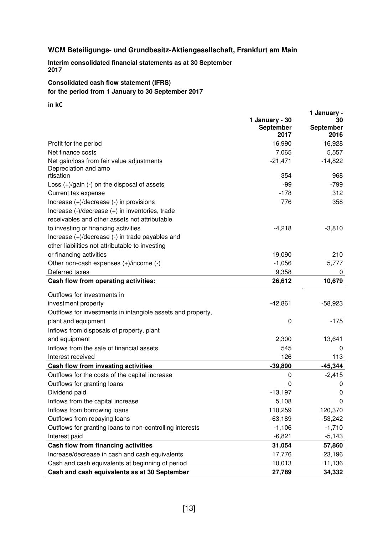**Interim consolidated financial statements as at 30 September <sup>2017</sup>** 

#### **Consolidated cash flow statement (IFRS) for the period from 1 January to 30 September 2017**

#### **in k€**

| <b>September</b><br>2016 |
|--------------------------|
|                          |
| 16,928                   |
| 5,557                    |
| $-14,822$                |
| 968                      |
| -799                     |
| 312                      |
| 358                      |
|                          |
|                          |
| $-3,810$                 |
|                          |
|                          |
| 210                      |
| 5,777                    |
| 0                        |
| 10,679                   |
|                          |
| $-58,923$                |
|                          |
| $-175$                   |
|                          |
| 13,641                   |
| 0                        |
| 113                      |
| $-45,344$                |
| $-2,415$                 |
| 0                        |
| 0                        |
| 0                        |
| 120,370                  |
| $-53,242$                |
| $-1,710$                 |
| $-5,143$                 |
| 57,860                   |
| 23,196<br>11,136         |
| 34,332                   |
|                          |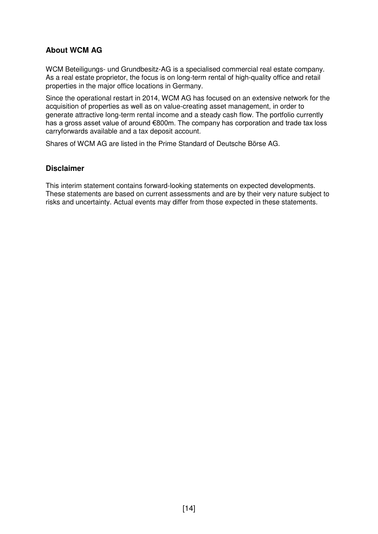#### **About WCM AG**

WCM Beteiligungs- und Grundbesitz-AG is a specialised commercial real estate company. As a real estate proprietor, the focus is on long-term rental of high-quality office and retail properties in the major office locations in Germany.

Since the operational restart in 2014, WCM AG has focused on an extensive network for the acquisition of properties as well as on value-creating asset management, in order to generate attractive long-term rental income and a steady cash flow. The portfolio currently has a gross asset value of around €800m. The company has corporation and trade tax loss carryforwards available and a tax deposit account.

Shares of WCM AG are listed in the Prime Standard of Deutsche Börse AG.

#### **Disclaimer**

This interim statement contains forward-looking statements on expected developments. These statements are based on current assessments and are by their very nature subject to risks and uncertainty. Actual events may differ from those expected in these statements.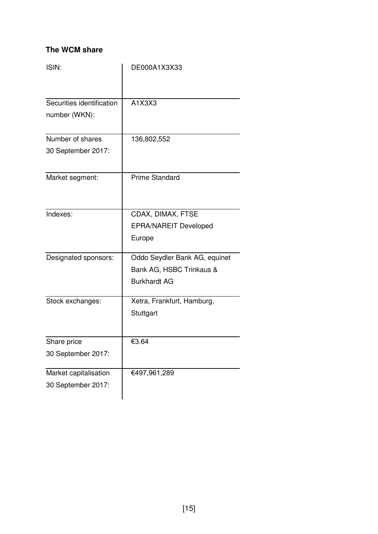#### **The WCM share**

| ISIN:                     | DE000A1X3X33                  |
|---------------------------|-------------------------------|
|                           |                               |
| Securities identification | A1X3X3                        |
| number (WKN):             |                               |
| Number of shares          | 136,802,552                   |
| 30 September 2017:        |                               |
| Market segment:           | <b>Prime Standard</b>         |
| Indexes:                  | CDAX, DIMAX, FTSE             |
|                           | <b>EPRA/NAREIT Developed</b>  |
|                           | Europe                        |
| Designated sponsors:      | Oddo Seydler Bank AG, equinet |
|                           | Bank AG, HSBC Trinkaus &      |
|                           | <b>Burkhardt AG</b>           |
| Stock exchanges:          | Xetra, Frankfurt, Hamburg,    |
|                           | Stuttgart                     |
| Share price               | €3.64                         |
| 30 September 2017:        |                               |
| Market capitalisation     | €497,961,289                  |
| 30 September 2017:        |                               |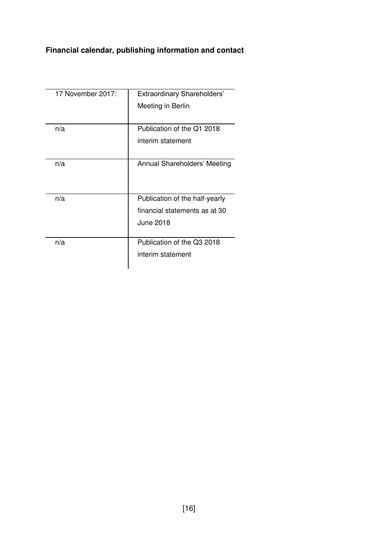### **Financial calendar, publishing information and contact**

| 17 November 2017: | Extraordinary Shareholders'         |
|-------------------|-------------------------------------|
|                   | Meeting in Berlin                   |
|                   |                                     |
| n/a               | Publication of the Q1 2018          |
|                   | interim statement                   |
|                   |                                     |
| n/a               | <b>Annual Shareholders' Meeting</b> |
|                   |                                     |
|                   |                                     |
| n/a               | Publication of the half-yearly      |
|                   | financial statements as at 30       |
|                   | <b>June 2018</b>                    |
|                   |                                     |
| n/a               | Publication of the Q3 2018          |
|                   | interim statement                   |
|                   |                                     |